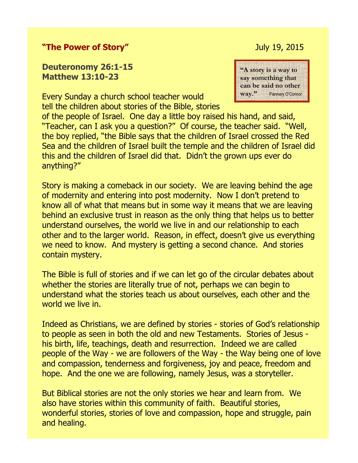## **"The Power of Story"** July 19, 2015

## **Deuteronomy 26:1-15 Matthew 13:10-23**

Every Sunday a church school teacher would tell the children about stories of the Bible, stories



of the people of Israel. One day a little boy raised his hand, and said, "Teacher, can I ask you a question?" Of course, the teacher said. "Well, the boy replied, "the Bible says that the children of Israel crossed the Red Sea and the children of Israel built the temple and the children of Israel did this and the children of Israel did that. Didn't the grown ups ever do anything?"

Story is making a comeback in our society. We are leaving behind the age of modernity and entering into post modernity. Now I don't pretend to know all of what that means but in some way it means that we are leaving behind an exclusive trust in reason as the only thing that helps us to better understand ourselves, the world we live in and our relationship to each other and to the larger world. Reason, in effect, doesn't give us everything we need to know. And mystery is getting a second chance. And stories contain mystery.

The Bible is full of stories and if we can let go of the circular debates about whether the stories are literally true of not, perhaps we can begin to understand what the stories teach us about ourselves, each other and the world we live in.

Indeed as Christians, we are defined by stories - stories of God's relationship to people as seen in both the old and new Testaments. Stories of Jesus his birth, life, teachings, death and resurrection. Indeed we are called people of the Way - we are followers of the Way - the Way being one of love and compassion, tenderness and forgiveness, joy and peace, freedom and hope. And the one we are following, namely Jesus, was a storyteller.

But Biblical stories are not the only stories we hear and learn from. We also have stories within this community of faith. Beautiful stories, wonderful stories, stories of love and compassion, hope and struggle, pain and healing.